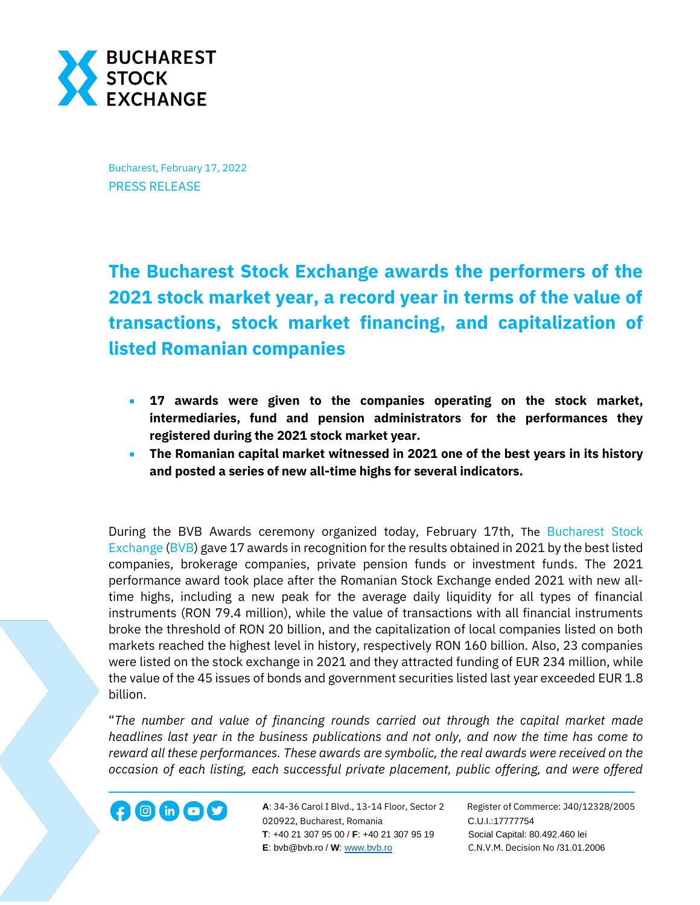

Bucharest, February 17, 2022 PRESS RELEASE

**The Bucharest Stock Exchange awards the performers of the 2021 stock market year, a record year in terms of the value of transactions, stock market financing, and capitalization of listed Romanian companies**

- **17 awards were given to the companies operating on the stock market, intermediaries, fund and pension administrators for the performances they registered during the 2021 stock market year.**
- **The Romanian capital market witnessed in 2021 one of the best years in its history and posted a series of new all-time highs for several indicators.**

During the BVB Awards ceremony organized today, February 17th, The [Bucharest Stock](https://bvb.ro/)  [Exchange](https://bvb.ro/) [\(BVB\)](https://bvb.ro/FinancialInstruments/Details/FinancialInstrumentsDetails.aspx?s=bvb) gave 17 awards in recognition for the results obtained in 2021 by the best listed companies, brokerage companies, private pension funds or investment funds. The 2021 performance award took place after the Romanian Stock Exchange ended 2021 with new alltime highs, including a new peak for the average daily liquidity for all types of financial instruments (RON 79.4 million), while the value of transactions with all financial instruments broke the threshold of RON 20 billion, and the capitalization of local companies listed on both markets reached the highest level in history, respectively RON 160 billion. Also, 23 companies were listed on the stock exchange in 2021 and they attracted funding of EUR 234 million, while the value of the 45 issues of bonds and government securities listed last year exceeded EUR 1.8 billion.

"*The number and value of financing rounds carried out through the capital market made headlines last year in the business publications and not only, and now the time has come to reward all these performances. These awards are symbolic, the real awards were received on the occasion of each listing, each successful private placement, public offering, and were offered* 

**A**: 34-36 Carol I Blvd., 13-14 Floor, Sector 2 Register of Commerce: J40/12328/2005 **1200 in CD State A**: 34-36 Carol I Blvd., 13-14 Floor, Sector 2 Register of Comn<br>020922, Bucharest, Romania C.U.I.:17777754  **T**: +40 21 307 95 00 / **F**: +40 21 307 95 19 Social Capital: 80.492.460 lei **E**: bvb@bvb.ro / **W**[: www.bvb.ro](http://www.bvb.ro/) C.N.V.M. Decision No /31.01.2006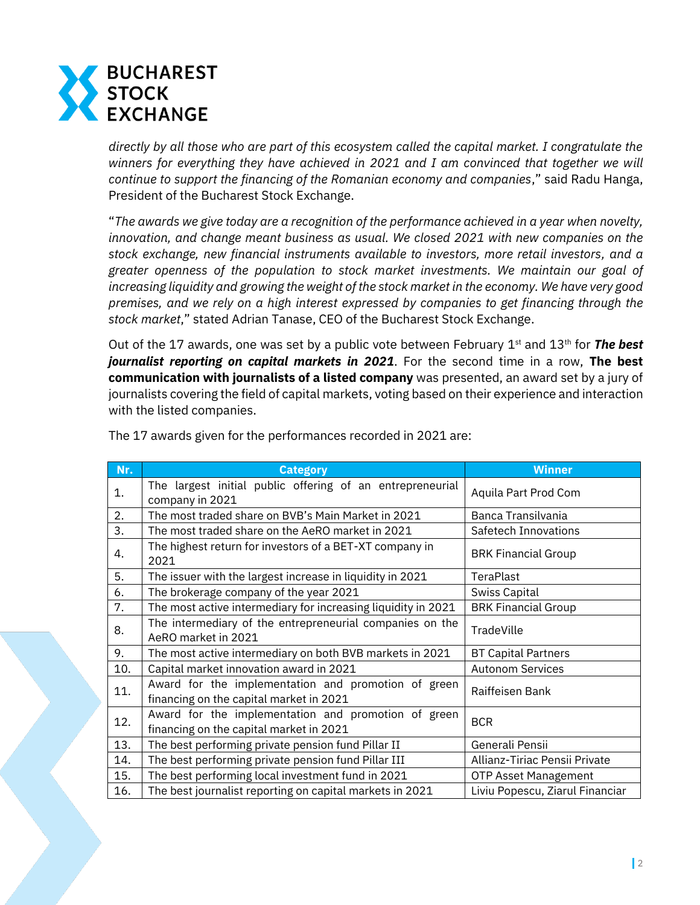

*directly by all those who are part of this ecosystem called the capital market. I congratulate the winners for everything they have achieved in 2021 and I am convinced that together we will continue to support the financing of the Romanian economy and companies*," said Radu Hanga, President of the Bucharest Stock Exchange.

"*The awards we give today are a recognition of the performance achieved in a year when novelty, innovation, and change meant business as usual. We closed 2021 with new companies on the stock exchange, new financial instruments available to investors, more retail investors, and a greater openness of the population to stock market investments. We maintain our goal of increasing liquidity and growing the weight of the stock market in the economy. We have very good premises, and we rely on a high interest expressed by companies to get financing through the stock market*," stated Adrian Tanase, CEO of the Bucharest Stock Exchange.

Out of the 17 awards, one was set by a public vote between February 1<sup>st</sup> and 13<sup>th</sup> for **The best** *journalist reporting on capital markets in 2021*. For the second time in a row, **The best communication with journalists of a listed company** was presented, an award set by a jury of journalists covering the field of capital markets, voting based on their experience and interaction with the listed companies.

| Nr. | <b>Category</b>                                                                                | <b>Winner</b>                   |
|-----|------------------------------------------------------------------------------------------------|---------------------------------|
| 1.  | The largest initial public offering of an entrepreneurial<br>company in 2021                   | Aquila Part Prod Com            |
| 2.  | The most traded share on BVB's Main Market in 2021                                             | Banca Transilvania              |
| 3.  | The most traded share on the AeRO market in 2021                                               | Safetech Innovations            |
| 4.  | The highest return for investors of a BET-XT company in<br>2021                                | <b>BRK Financial Group</b>      |
| 5.  | The issuer with the largest increase in liquidity in 2021                                      | TeraPlast                       |
| 6.  | The brokerage company of the year 2021                                                         | Swiss Capital                   |
| 7.  | The most active intermediary for increasing liquidity in 2021                                  | <b>BRK Financial Group</b>      |
| 8.  | The intermediary of the entrepreneurial companies on the<br>AeRO market in 2021                | TradeVille                      |
| 9.  | The most active intermediary on both BVB markets in 2021                                       | <b>BT Capital Partners</b>      |
| 10. | Capital market innovation award in 2021                                                        | <b>Autonom Services</b>         |
| 11. | Award for the implementation and promotion of green<br>financing on the capital market in 2021 | Raiffeisen Bank                 |
| 12. | Award for the implementation and promotion of green<br>financing on the capital market in 2021 | <b>BCR</b>                      |
| 13. | The best performing private pension fund Pillar II                                             | Generali Pensii                 |
| 14. | The best performing private pension fund Pillar III                                            | Allianz-Tiriac Pensii Private   |
| 15. | The best performing local investment fund in 2021                                              | <b>OTP Asset Management</b>     |
| 16. | The best journalist reporting on capital markets in 2021                                       | Liviu Popescu, Ziarul Financiar |

The 17 awards given for the performances recorded in 2021 are: